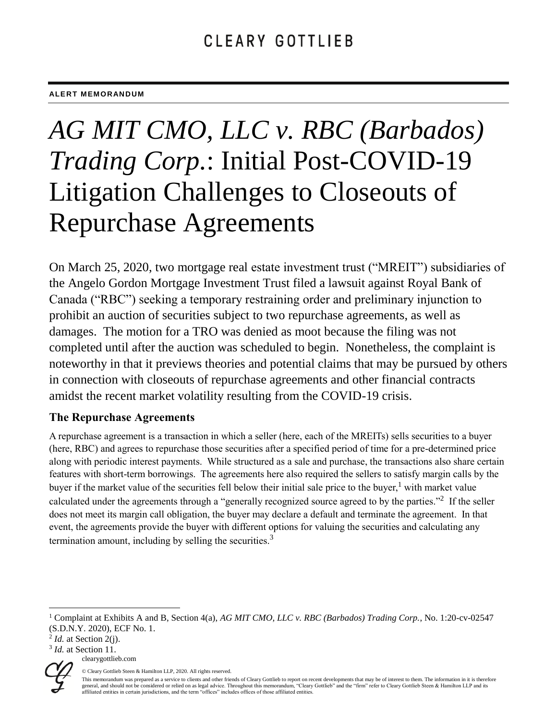#### **ALERT MEMORANDUM**

# *AG MIT CMO, LLC v. RBC (Barbados) Trading Corp.*: Initial Post-COVID-19 Litigation Challenges to Closeouts of Repurchase Agreements

On March 25, 2020, two mortgage real estate investment trust ("MREIT") subsidiaries of the Angelo Gordon Mortgage Investment Trust filed a lawsuit against Royal Bank of Canada ("RBC") seeking a temporary restraining order and preliminary injunction to prohibit an auction of securities subject to two repurchase agreements, as well as damages. The motion for a TRO was denied as moot because the filing was not completed until after the auction was scheduled to begin. Nonetheless, the complaint is noteworthy in that it previews theories and potential claims that may be pursued by others in connection with closeouts of repurchase agreements and other financial contracts amidst the recent market volatility resulting from the COVID-19 crisis.

## **The Repurchase Agreements**

A repurchase agreement is a transaction in which a seller (here, each of the MREITs) sells securities to a buyer (here, RBC) and agrees to repurchase those securities after a specified period of time for a pre-determined price along with periodic interest payments. While structured as a sale and purchase, the transactions also share certain features with short-term borrowings. The agreements here also required the sellers to satisfy margin calls by the buyer if the market value of the securities fell below their initial sale price to the buyer,<sup>1</sup> with market value calculated under the agreements through a "generally recognized source agreed to by the parties."<sup>2</sup> If the seller does not meet its margin call obligation, the buyer may declare a default and terminate the agreement. In that event, the agreements provide the buyer with different options for valuing the securities and calculating any termination amount, including by selling the securities.<sup>3</sup>

clearygottlieb.com <sup>3</sup> *Id.* at Section 11.



 $\overline{a}$ 

© Cleary Gottlieb Steen & Hamilton LLP, 2020. All rights reserved.

<sup>1</sup> Complaint at Exhibits A and B, Section 4(a), *AG MIT CMO, LLC v. RBC (Barbados) Trading Corp.*, No. 1:20-cv-02547 (S.D.N.Y. 2020), ECF No. 1.

 $<sup>2</sup>$  *Id.* at Section 2(j).</sup>

This memorandum was prepared as a service to clients and other friends of Cleary Gottlieb to report on recent developments that may be of interest to them. The information in it is therefore general, and should not be considered or relied on as legal advice. Throughout this memorandum, "Cleary Gottlieb" and the "firm" refer to Cleary Gottlieb Steen & Hamilton LLP and its affiliated entities in certain jurisdictions, and the term "offices" includes offices of those affiliated entities.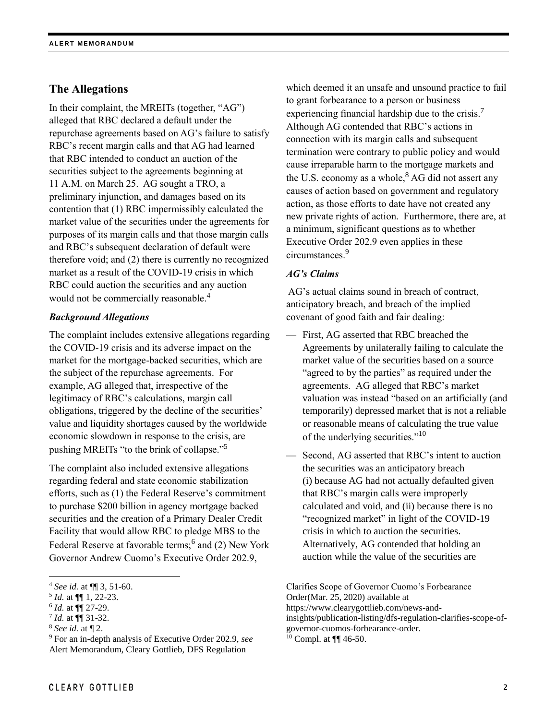# **The Allegations**

In their complaint, the MREITs (together, "AG") alleged that RBC declared a default under the repurchase agreements based on AG's failure to satisfy RBC's recent margin calls and that AG had learned that RBC intended to conduct an auction of the securities subject to the agreements beginning at 11 A.M. on March 25. AG sought a TRO, a preliminary injunction, and damages based on its contention that (1) RBC impermissibly calculated the market value of the securities under the agreements for purposes of its margin calls and that those margin calls and RBC's subsequent declaration of default were therefore void; and (2) there is currently no recognized market as a result of the COVID-19 crisis in which RBC could auction the securities and any auction would not be commercially reasonable.<sup>4</sup>

#### *Background Allegations*

The complaint includes extensive allegations regarding the COVID-19 crisis and its adverse impact on the market for the mortgage-backed securities, which are the subject of the repurchase agreements. For example, AG alleged that, irrespective of the legitimacy of RBC's calculations, margin call obligations, triggered by the decline of the securities' value and liquidity shortages caused by the worldwide economic slowdown in response to the crisis, are pushing MREITs "to the brink of collapse."<sup>5</sup>

The complaint also included extensive allegations regarding federal and state economic stabilization efforts, such as (1) the Federal Reserve's commitment to purchase \$200 billion in agency mortgage backed securities and the creation of a Primary Dealer Credit Facility that would allow RBC to pledge MBS to the Federal Reserve at favorable terms;<sup>6</sup> and (2) New York Governor Andrew Cuomo's Executive Order 202.9,

 $\overline{\phantom{a}}$ 

which deemed it an unsafe and unsound practice to fail to grant forbearance to a person or business experiencing financial hardship due to the crisis.<sup>7</sup> Although AG contended that RBC's actions in connection with its margin calls and subsequent termination were contrary to public policy and would cause irreparable harm to the mortgage markets and the U.S. economy as a whole, ${}^{8}$  AG did not assert any causes of action based on government and regulatory action, as those efforts to date have not created any new private rights of action. Furthermore, there are, at a minimum, significant questions as to whether Executive Order 202.9 even applies in these circumstances.<sup>9</sup>

#### *AG's Claims*

AG's actual claims sound in breach of contract, anticipatory breach, and breach of the implied covenant of good faith and fair dealing:

- First, AG asserted that RBC breached the Agreements by unilaterally failing to calculate the market value of the securities based on a source "agreed to by the parties" as required under the agreements. AG alleged that RBC's market valuation was instead "based on an artificially (and temporarily) depressed market that is not a reliable or reasonable means of calculating the true value of the underlying securities."<sup>10</sup>
- Second, AG asserted that RBC's intent to auction the securities was an anticipatory breach (i) because AG had not actually defaulted given that RBC's margin calls were improperly calculated and void, and (ii) because there is no "recognized market" in light of the COVID-19 crisis in which to auction the securities. Alternatively, AG contended that holding an auction while the value of the securities are

Clarifies Scope of Governor Cuomo's Forbearance Order(Mar. 25, 2020) available at https://www.clearygottlieb.com/news-andinsights/publication-listing/dfs-regulation-clarifies-scope-ofgovernor-cuomos-forbearance-order.  $10$  Compl. at  $\P\P$  46-50.

<sup>4</sup> *See id.* at ¶¶ 3, 51-60.

<sup>5</sup> *Id.* at ¶¶ 1, 22-23.

<sup>6</sup> *Id.* at ¶¶ 27-29.

<sup>7</sup> *Id.* at ¶¶ 31-32.

<sup>8</sup> *See id.* at ¶ 2.

<sup>9</sup> For an in-depth analysis of Executive Order 202.9, *see* Alert Memorandum, Cleary Gottlieb, DFS Regulation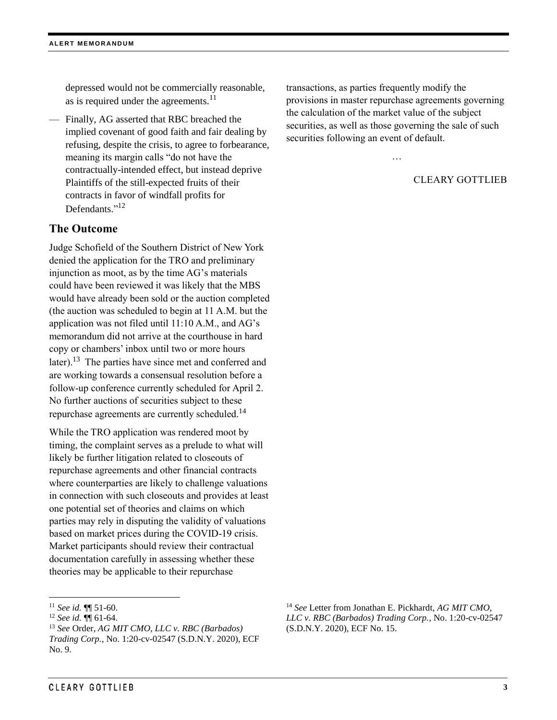depressed would not be commercially reasonable, as is required under the agreements. $^{11}$ 

— Finally, AG asserted that RBC breached the implied covenant of good faith and fair dealing by refusing, despite the crisis, to agree to forbearance, meaning its margin calls "do not have the contractually-intended effect, but instead deprive Plaintiffs of the still-expected fruits of their contracts in favor of windfall profits for Defendants."<sup>12</sup>

### **The Outcome**

Judge Schofield of the Southern District of New York denied the application for the TRO and preliminary injunction as moot, as by the time AG's materials could have been reviewed it was likely that the MBS would have already been sold or the auction completed (the auction was scheduled to begin at 11 A.M. but the application was not filed until 11:10 A.M., and AG's memorandum did not arrive at the courthouse in hard copy or chambers' inbox until two or more hours later).<sup>13</sup> The parties have since met and conferred and are working towards a consensual resolution before a follow-up conference currently scheduled for April 2. No further auctions of securities subject to these repurchase agreements are currently scheduled.<sup>14</sup>

While the TRO application was rendered moot by timing, the complaint serves as a prelude to what will likely be further litigation related to closeouts of repurchase agreements and other financial contracts where counterparties are likely to challenge valuations in connection with such closeouts and provides at least one potential set of theories and claims on which parties may rely in disputing the validity of valuations based on market prices during the COVID-19 crisis. Market participants should review their contractual documentation carefully in assessing whether these theories may be applicable to their repurchase

 $\overline{\phantom{a}}$ 

transactions, as parties frequently modify the provisions in master repurchase agreements governing the calculation of the market value of the subject securities, as well as those governing the sale of such securities following an event of default.

…

# CLEARY GOTTLIEB

<sup>11</sup> *See id.* ¶¶ 51-60.

<sup>12</sup> *See id.* ¶¶ 61-64.

<sup>13</sup> *See* Order, *AG MIT CMO, LLC v. RBC (Barbados) Trading Corp.*, No. 1:20-cv-02547 (S.D.N.Y. 2020), ECF No. 9.

<sup>14</sup> *See* Letter from Jonathan E. Pickhardt, *AG MIT CMO, LLC v. RBC (Barbados) Trading Corp.*, No. 1:20-cv-02547 (S.D.N.Y. 2020), ECF No. 15.